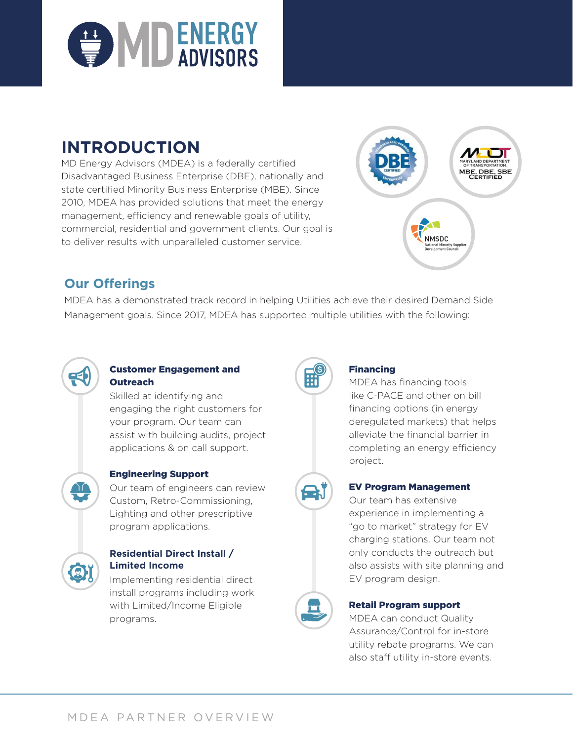

# **INTRODUCTION**

MD Energy Advisors (MDEA) is a federally certified Disadvantaged Business Enterprise (DBE), nationally and state certified Minority Business Enterprise (MBE). Since 2010, MDEA has provided solutions that meet the energy management, efficiency and renewable goals of utility, commercial, residential and government clients. Our goal is to deliver results with unparalleled customer service.



# **Our Offerings**

MDEA has a demonstrated track record in helping Utilities achieve their desired Demand Side Management goals. Since 2017, MDEA has supported multiple utilities with the following:



### Customer Engagement and **Outreach**

Skilled at identifying and engaging the right customers for your program. Our team can assist with building audits, project applications & on call support.



## Engineering Support

Our team of engineers can review Custom, Retro-Commissioning, Lighting and other prescriptive program applications.



### **Residential Direct Install / Limited Income**

Implementing residential direct install programs including work with Limited/Income Eligible programs.



#### Financing

MDEA has financing tools like C-PACE and other on bill financing options (in energy deregulated markets) that helps alleviate the financial barrier in completing an energy efficiency project.



## EV Program Management

Our team has extensive experience in implementing a "go to market" strategy for EV charging stations. Our team not only conducts the outreach but also assists with site planning and EV program design.



#### Retail Program support

MDEA can conduct Quality Assurance/Control for in-store utility rebate programs. We can also staff utility in-store events.